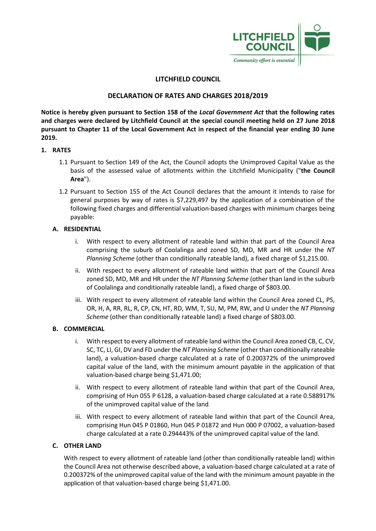

# **LITCHFIELD COUNCIL**

# **DECLARATION OF RATES AND CHARGES 2018/2019**

**Notice is hereby given pursuant to Section 158 of the** *Local Government Act* **that the following rates and charges were declared by Litchfield Council at the special council meeting held on 27 June 2018 pursuant to Chapter 11 of the Local Government Act in respect of the financial year ending 30 June 2019.**

### **1. RATES**

- 1.1 Pursuant to Section 149 of the Act, the Council adopts the Unimproved Capital Value as the basis of the assessed value of allotments within the Litchfield Municipality ("**the Council Area**").
- 1.2 Pursuant to Section 155 of the Act Council declares that the amount it intends to raise for general purposes by way of rates is \$7,229,497 by the application of a combination of the following fixed charges and differential valuation-based charges with minimum charges being payable:

## **A. RESIDENTIAL**

- i. With respect to every allotment of rateable land within that part of the Council Area comprising the suburb of Coolalinga and zoned SD, MD, MR and HR under the *NT Planning Scheme* (other than conditionally rateable land), a fixed charge of \$1,215.00.
- ii. With respect to every allotment of rateable land within that part of the Council Area zoned SD, MD, MR and HR under the *NT Planning Scheme* (other than land in the suburb of Coolalinga and conditionally rateable land), a fixed charge of \$803.00.
- iii. With respect to every allotment of rateable land within the Council Area zoned CL, PS, OR, H, A, RR, RL, R, CP, CN, HT, RD, WM, T, SU, M, PM, RW, and U under the *NT Planning Scheme* (other than conditionally rateable land) a fixed charge of \$803.00.

### **B. COMMERCIAL**

- i. With respect to every allotment of rateable land within the Council Area zoned CB, C, CV, SC, TC, LI, GI, DV and FD under the *NT Planning Scheme* (other than conditionally rateable land), a valuation-based charge calculated at a rate of 0.200372% of the unimproved capital value of the land, with the minimum amount payable in the application of that valuation-based charge being \$1,471.00;
- ii. With respect to every allotment of rateable land within that part of the Council Area, comprising of Hun 055 P 6128, a valuation-based charge calculated at a rate 0.588917% of the unimproved capital value of the land.
- iii. With respect to every allotment of rateable land within that part of the Council Area, comprising Hun 045 P 01860, Hun 045 P 01872 and Hun 000 P 07002, a valuation-based charge calculated at a rate 0.294443% of the unimproved capital value of the land.

### **C. OTHER LAND**

With respect to every allotment of rateable land (other than conditionally rateable land) within the Council Area not otherwise described above, a valuation-based charge calculated at a rate of 0.200372% of the unimproved capital value of the land with the minimum amount payable in the application of that valuation-based charge being \$1,471.00.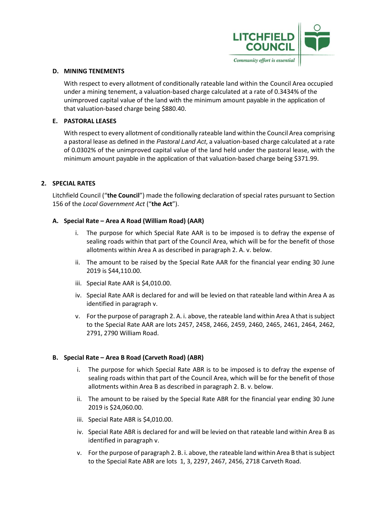

#### **D. MINING TENEMENTS**

With respect to every allotment of conditionally rateable land within the Council Area occupied under a mining tenement, a valuation-based charge calculated at a rate of 0.3434% of the unimproved capital value of the land with the minimum amount payable in the application of that valuation-based charge being \$880.40.

### **E. PASTORAL LEASES**

With respect to every allotment of conditionally rateable land within the Council Area comprising a pastoral lease as defined in the *Pastoral Land Act*, a valuation-based charge calculated at a rate of 0.0302% of the unimproved capital value of the land held under the pastoral lease, with the minimum amount payable in the application of that valuation-based charge being \$371.99.

### **2. SPECIAL RATES**

Litchfield Council ("**the Council**") made the following declaration of special rates pursuant to Section 156 of the *Local Government Act* ("**the Act**").

### **A. Special Rate – Area A Road (William Road) (AAR)**

- The purpose for which Special Rate AAR is to be imposed is to defray the expense of sealing roads within that part of the Council Area, which will be for the benefit of those allotments within Area A as described in paragraph 2. A. v. below.
- ii. The amount to be raised by the Special Rate AAR for the financial year ending 30 June 2019 is \$44,110.00.
- iii. Special Rate AAR is \$4,010.00.
- iv. Special Rate AAR is declared for and will be levied on that rateable land within Area A as identified in paragraph v.
- v. For the purpose of paragraph 2. A. i. above, the rateable land within Area A that is subject to the Special Rate AAR are lots 2457, 2458, 2466, 2459, 2460, 2465, 2461, 2464, 2462, 2791, 2790 William Road.

### **B. Special Rate – Area B Road (Carveth Road) (ABR)**

- i. The purpose for which Special Rate ABR is to be imposed is to defray the expense of sealing roads within that part of the Council Area, which will be for the benefit of those allotments within Area B as described in paragraph 2. B. v. below.
- ii. The amount to be raised by the Special Rate ABR for the financial year ending 30 June 2019 is \$24,060.00.
- iii. Special Rate ABR is \$4,010.00.
- iv. Special Rate ABR is declared for and will be levied on that rateable land within Area B as identified in paragraph v.
- v. For the purpose of paragraph 2. B. i. above, the rateable land within Area B that is subject to the Special Rate ABR are lots 1, 3, 2297, 2467, 2456, 2718 Carveth Road.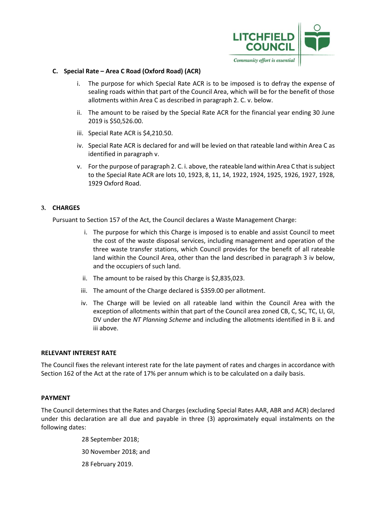

### **C. Special Rate – Area C Road (Oxford Road) (ACR)**

- i. The purpose for which Special Rate ACR is to be imposed is to defray the expense of sealing roads within that part of the Council Area, which will be for the benefit of those allotments within Area C as described in paragraph 2. C. v. below.
- ii. The amount to be raised by the Special Rate ACR for the financial year ending 30 June 2019 is \$50,526.00.
- iii. Special Rate ACR is \$4,210.50.
- iv. Special Rate ACR is declared for and will be levied on that rateable land within Area C as identified in paragraph v.
- v. For the purpose of paragraph 2. C. i. above, the rateable land within Area C that is subject to the Special Rate ACR are lots 10, 1923, 8, 11, 14, 1922, 1924, 1925, 1926, 1927, 1928, 1929 Oxford Road.

## **3. CHARGES**

Pursuant to Section 157 of the Act, the Council declares a Waste Management Charge:

- i. The purpose for which this Charge is imposed is to enable and assist Council to meet the cost of the waste disposal services, including management and operation of the three waste transfer stations, which Council provides for the benefit of all rateable land within the Council Area, other than the land described in paragraph 3 iv below, and the occupiers of such land.
- ii. The amount to be raised by this Charge is \$2,835,023.
- iii. The amount of the Charge declared is \$359.00 per allotment.
- iv. The Charge will be levied on all rateable land within the Council Area with the exception of allotments within that part of the Council area zoned CB, C, SC, TC, LI, GI, DV under the *NT Planning Scheme* and including the allotments identified in B ii. and iii above.

### **RELEVANT INTEREST RATE**

The Council fixes the relevant interest rate for the late payment of rates and charges in accordance with Section 162 of the Act at the rate of 17% per annum which is to be calculated on a daily basis.

### **PAYMENT**

The Council determines that the Rates and Charges (excluding Special Rates AAR, ABR and ACR) declared under this declaration are all due and payable in three (3) approximately equal instalments on the following dates:

> 28 September 2018; 30 November 2018; and 28 February 2019.